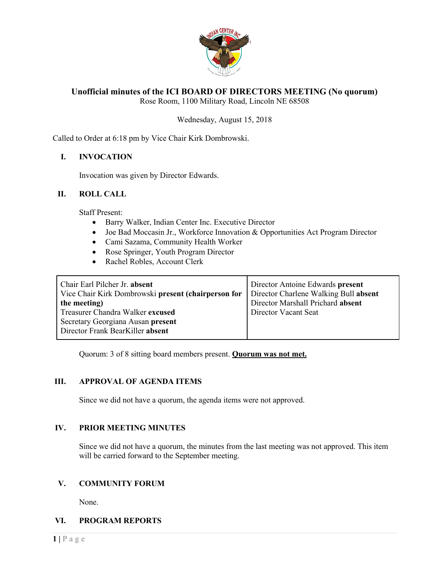

# **Unofficial minutes of the ICI BOARD OF DIRECTORS MEETING (No quorum)**

Rose Room, 1100 Military Road, Lincoln NE 68508

### Wednesday, August 15, 2018

Called to Order at 6:18 pm by Vice Chair Kirk Dombrowski.

### **I. INVOCATION**

Invocation was given by Director Edwards.

#### **II. ROLL CALL**

Staff Present:

- Barry Walker, Indian Center Inc. Executive Director
- Joe Bad Moccasin Jr., Workforce Innovation & Opportunities Act Program Director
- Cami Sazama, Community Health Worker
- Rose Springer, Youth Program Director
- Rachel Robles, Account Clerk

| Chair Earl Pilcher Jr. absent<br>Vice Chair Kirk Dombrowski present (chairperson for | Director Antoine Edwards present<br>Director Charlene Walking Bull absent |
|--------------------------------------------------------------------------------------|---------------------------------------------------------------------------|
| the meeting)                                                                         | Director Marshall Prichard absent                                         |
| Treasurer Chandra Walker excused                                                     | Director Vacant Seat                                                      |
| Secretary Georgiana Ausan present                                                    |                                                                           |
| Director Frank BearKiller absent                                                     |                                                                           |

Quorum: 3 of 8 sitting board members present. **Quorum was not met.**

#### **III. APPROVAL OF AGENDA ITEMS**

Since we did not have a quorum, the agenda items were not approved.

#### **IV. PRIOR MEETING MINUTES**

Since we did not have a quorum, the minutes from the last meeting was not approved. This item will be carried forward to the September meeting.

# **V. COMMUNITY FORUM**

None.

#### **VI. PROGRAM REPORTS**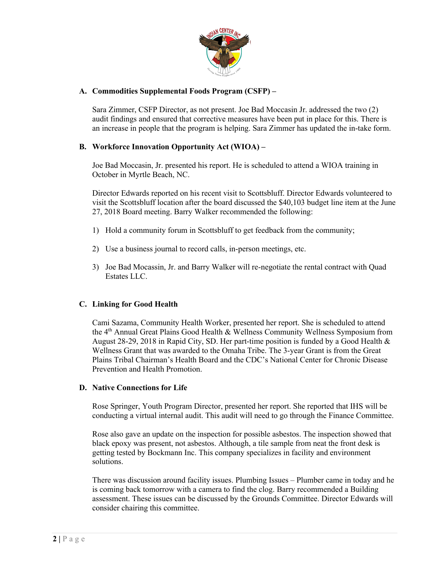

# **A. Commodities Supplemental Foods Program (CSFP) –**

Sara Zimmer, CSFP Director, as not present. Joe Bad Moccasin Jr. addressed the two (2) audit findings and ensured that corrective measures have been put in place for this. There is an increase in people that the program is helping. Sara Zimmer has updated the in-take form.

# **B. Workforce Innovation Opportunity Act (WIOA) –**

Joe Bad Moccasin, Jr. presented his report. He is scheduled to attend a WIOA training in October in Myrtle Beach, NC.

Director Edwards reported on his recent visit to Scottsbluff. Director Edwards volunteered to visit the Scottsbluff location after the board discussed the \$40,103 budget line item at the June 27, 2018 Board meeting. Barry Walker recommended the following:

- 1) Hold a community forum in Scottsbluff to get feedback from the community;
- 2) Use a business journal to record calls, in-person meetings, etc.
- 3) Joe Bad Mocassin, Jr. and Barry Walker will re-negotiate the rental contract with Quad Estates LLC.

# **C. Linking for Good Health**

Cami Sazama, Community Health Worker, presented her report. She is scheduled to attend the 4<sup>th</sup> Annual Great Plains Good Health & Wellness Community Wellness Symposium from August 28-29, 2018 in Rapid City, SD. Her part-time position is funded by a Good Health & Wellness Grant that was awarded to the Omaha Tribe. The 3-year Grant is from the Great Plains Tribal Chairman's Health Board and the CDC's National Center for Chronic Disease Prevention and Health Promotion.

#### **D. Native Connections for Life**

Rose Springer, Youth Program Director, presented her report. She reported that IHS will be conducting a virtual internal audit. This audit will need to go through the Finance Committee.

Rose also gave an update on the inspection for possible asbestos. The inspection showed that black epoxy was present, not asbestos. Although, a tile sample from neat the front desk is getting tested by Bockmann Inc. This company specializes in facility and environment solutions.

There was discussion around facility issues. Plumbing Issues – Plumber came in today and he is coming back tomorrow with a camera to find the clog. Barry recommended a Building assessment. These issues can be discussed by the Grounds Committee. Director Edwards will consider chairing this committee.